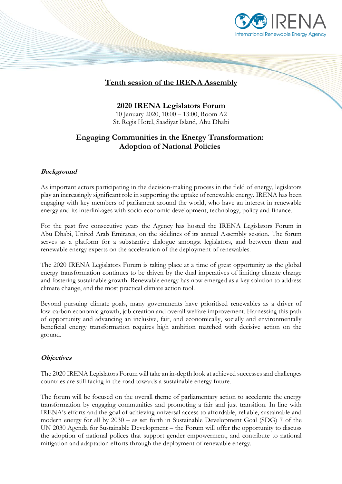

## **Tenth session of the IRENA Assembly**

**2020 IRENA Legislators Forum** 10 January 2020, 10:00 – 13:00, Room A2 St. Regis Hotel, Saadiyat Island, Abu Dhabi

# **Engaging Communities in the Energy Transformation: Adoption of National Policies**

### **Background**

As important actors participating in the decision-making process in the field of energy, legislators play an increasingly significant role in supporting the uptake of renewable energy. IRENA has been engaging with key members of parliament around the world, who have an interest in renewable energy and its interlinkages with socio-economic development, technology, policy and finance.

For the past five consecutive years the Agency has hosted the IRENA Legislators Forum in Abu Dhabi, United Arab Emirates, on the sidelines of its annual Assembly session. The forum serves as a platform for a substantive dialogue amongst legislators, and between them and renewable energy experts on the acceleration of the deployment of renewables.

The 2020 IRENA Legislators Forum is taking place at a time of great opportunity as the global energy transformation continues to be driven by the dual imperatives of limiting climate change and fostering sustainable growth. Renewable energy has now emerged as a key solution to address climate change, and the most practical climate action tool.

Beyond pursuing climate goals, many governments have prioritised renewables as a driver of low-carbon economic growth, job creation and overall welfare improvement. Harnessing this path of opportunity and advancing an inclusive, fair, and economically, socially and environmentally beneficial energy transformation requires high ambition matched with decisive action on the ground.

#### **Objectives**

The 2020 IRENA Legislators Forum will take an in-depth look at achieved successes and challenges countries are still facing in the road towards a sustainable energy future.

The forum will be focused on the overall theme of parliamentary action to accelerate the energy transformation by engaging communities and promoting a fair and just transition. In line with IRENA's efforts and the goal of achieving universal access to affordable, reliable, sustainable and modern energy for all by 2030 – as set forth in Sustainable Development Goal (SDG) 7 of the UN 2030 Agenda for Sustainable Development – the Forum will offer the opportunity to discuss the adoption of national polices that support gender empowerment, and contribute to national mitigation and adaptation efforts through the deployment of renewable energy.